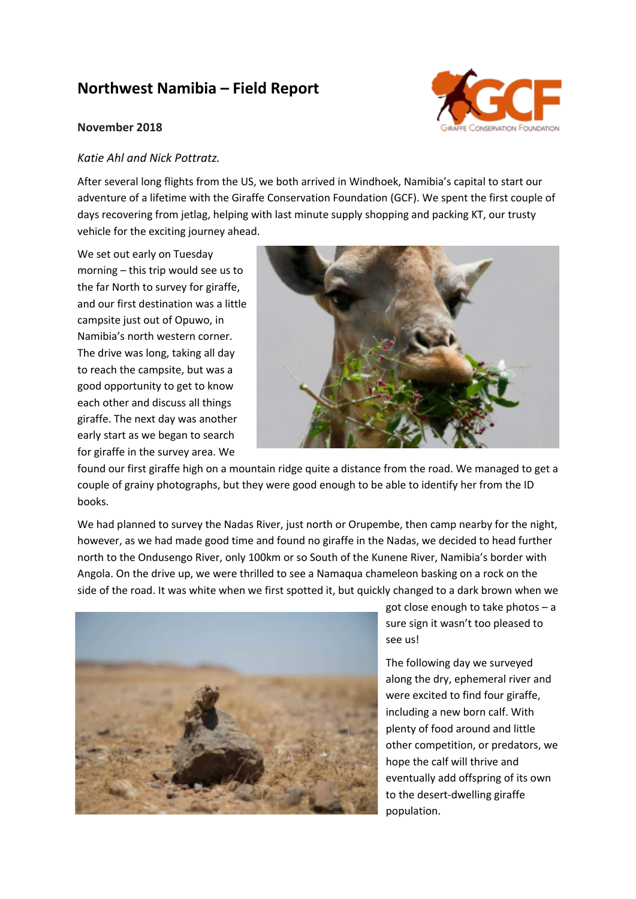## **Northwest Namibia – Field Report**

## **November 2018**



## *Katie Ahl and Nick Pottratz.*

After several long flights from the US, we both arrived in Windhoek, Namibia's capital to start our adventure of a lifetime with the Giraffe Conservation Foundation (GCF). We spent the first couple of days recovering from jetlag, helping with last minute supply shopping and packing KT, our trusty vehicle for the exciting journey ahead.

We set out early on Tuesday morning – this trip would see us to the far North to survey for giraffe, and our first destination was a little campsite just out of Opuwo, in Namibia's north western corner. The drive was long, taking all day to reach the campsite, but was a good opportunity to get to know each other and discuss all things giraffe. The next day was another early start as we began to search for giraffe in the survey area. We



found our first giraffe high on a mountain ridge quite a distance from the road. We managed to get a couple of grainy photographs, but they were good enough to be able to identify her from the ID books.

We had planned to survey the Nadas River, just north or Orupembe, then camp nearby for the night, however, as we had made good time and found no giraffe in the Nadas, we decided to head further north to the Ondusengo River, only 100km or so South of the Kunene River, Namibia's border with Angola. On the drive up, we were thrilled to see a Namaqua chameleon basking on a rock on the side of the road. It was white when we first spotted it, but quickly changed to a dark brown when we



got close enough to take photos – a sure sign it wasn't too pleased to see us!

The following day we surveyed along the dry, ephemeral river and were excited to find four giraffe, including a new born calf. With plenty of food around and little other competition, or predators, we hope the calf will thrive and eventually add offspring of its own to the desert-dwelling giraffe population.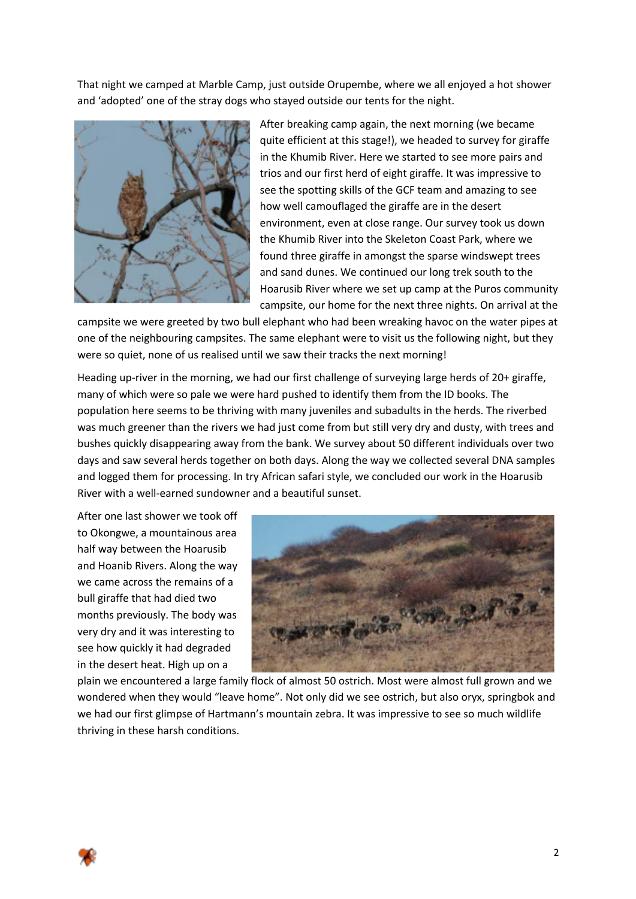That night we camped at Marble Camp, just outside Orupembe, where we all enjoyed a hot shower and 'adopted' one of the stray dogs who stayed outside our tents for the night.



After breaking camp again, the next morning (we became quite efficient at this stage!), we headed to survey for giraffe in the Khumib River. Here we started to see more pairs and trios and our first herd of eight giraffe. It was impressive to see the spotting skills of the GCF team and amazing to see how well camouflaged the giraffe are in the desert environment, even at close range. Our survey took us down the Khumib River into the Skeleton Coast Park, where we found three giraffe in amongst the sparse windswept trees and sand dunes. We continued our long trek south to the Hoarusib River where we set up camp at the Puros community campsite, our home for the next three nights. On arrival at the

campsite we were greeted by two bull elephant who had been wreaking havoc on the water pipes at one of the neighbouring campsites. The same elephant were to visit us the following night, but they were so quiet, none of us realised until we saw their tracks the next morning!

Heading up-river in the morning, we had our first challenge of surveying large herds of 20+ giraffe, many of which were so pale we were hard pushed to identify them from the ID books. The population here seems to be thriving with many juveniles and subadults in the herds. The riverbed was much greener than the rivers we had just come from but still very dry and dusty, with trees and bushes quickly disappearing away from the bank. We survey about 50 different individuals over two days and saw several herds together on both days. Along the way we collected several DNA samples and logged them for processing. In try African safari style, we concluded our work in the Hoarusib River with a well-earned sundowner and a beautiful sunset.

After one last shower we took off to Okongwe, a mountainous area half way between the Hoarusib and Hoanib Rivers. Along the way we came across the remains of a bull giraffe that had died two months previously. The body was very dry and it was interesting to see how quickly it had degraded in the desert heat. High up on a



plain we encountered a large family flock of almost 50 ostrich. Most were almost full grown and we wondered when they would "leave home". Not only did we see ostrich, but also oryx, springbok and we had our first glimpse of Hartmann's mountain zebra. It was impressive to see so much wildlife thriving in these harsh conditions.

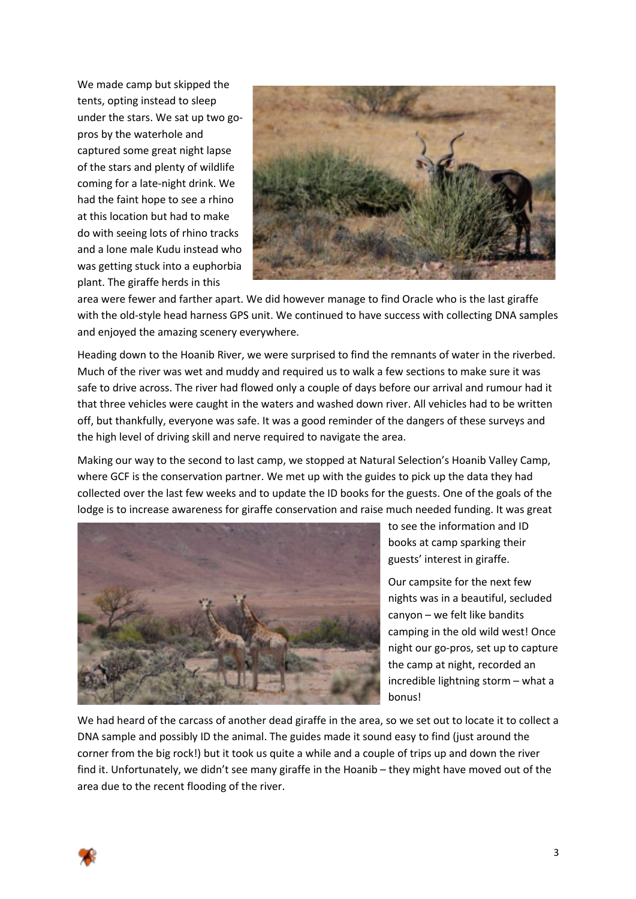We made camp but skipped the tents, opting instead to sleep under the stars. We sat up two gopros by the waterhole and captured some great night lapse of the stars and plenty of wildlife coming for a late-night drink. We had the faint hope to see a rhino at this location but had to make do with seeing lots of rhino tracks and a lone male Kudu instead who was getting stuck into a euphorbia plant. The giraffe herds in this



area were fewer and farther apart. We did however manage to find Oracle who is the last giraffe with the old-style head harness GPS unit. We continued to have success with collecting DNA samples and enjoyed the amazing scenery everywhere.

Heading down to the Hoanib River, we were surprised to find the remnants of water in the riverbed. Much of the river was wet and muddy and required us to walk a few sections to make sure it was safe to drive across. The river had flowed only a couple of days before our arrival and rumour had it that three vehicles were caught in the waters and washed down river. All vehicles had to be written off, but thankfully, everyone was safe. It was a good reminder of the dangers of these surveys and the high level of driving skill and nerve required to navigate the area.

Making our way to the second to last camp, we stopped at Natural Selection's Hoanib Valley Camp, where GCF is the conservation partner. We met up with the guides to pick up the data they had collected over the last few weeks and to update the ID books for the guests. One of the goals of the lodge is to increase awareness for giraffe conservation and raise much needed funding. It was great



to see the information and ID books at camp sparking their guests' interest in giraffe.

Our campsite for the next few nights was in a beautiful, secluded canyon – we felt like bandits camping in the old wild west! Once night our go-pros, set up to capture the camp at night, recorded an incredible lightning storm – what a bonus!

We had heard of the carcass of another dead giraffe in the area, so we set out to locate it to collect a DNA sample and possibly ID the animal. The guides made it sound easy to find (just around the corner from the big rock!) but it took us quite a while and a couple of trips up and down the river find it. Unfortunately, we didn't see many giraffe in the Hoanib – they might have moved out of the area due to the recent flooding of the river.